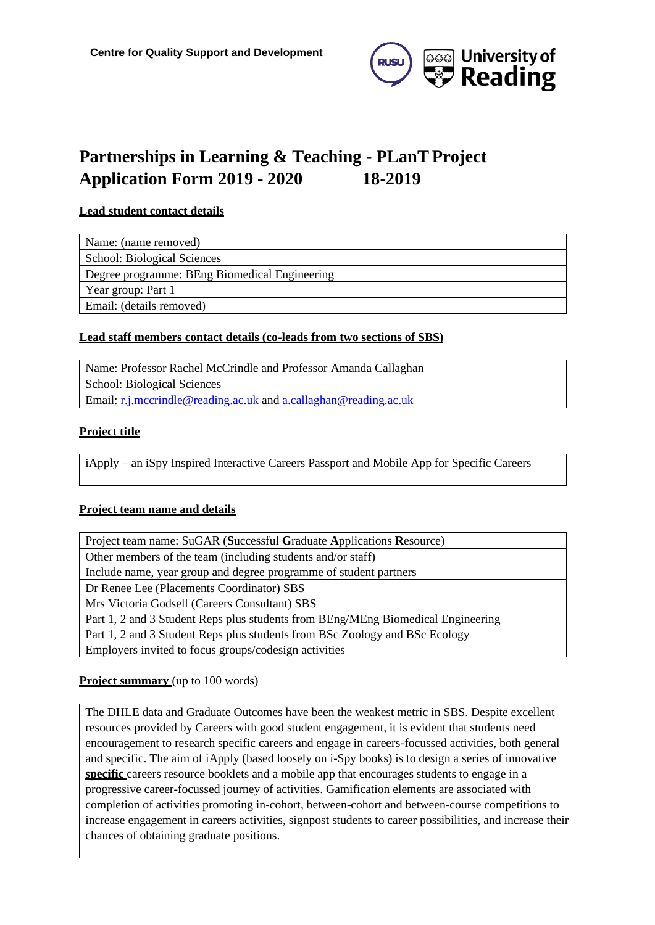

# **Partnerships in Learning & Teaching - PLanT Project Application Form 2019 - 2020 18-2019**

#### **Lead student contact details**

Name: (name removed)

School: Biological Sciences

Degree programme: BEng Biomedical Engineering

Year group: Part 1

Email[: \(details](mailto:h.marling@student.reading.ac.uk) removed)

#### **Lead staff members contact details (co-leads from two sections of SBS)**

Name: Professor Rachel McCrindle and Professor Amanda Callaghan

School: Biological Sciences

Email[: r.j.mccrindle@reading.ac.uk a](mailto:r.j.mccrindle@reading.ac.uk)n[d a.callaghan@reading.ac.uk](mailto:a.callaghan@reading.ac.uk)

## **Project title**

iApply – an iSpy Inspired Interactive Careers Passport and Mobile App for Specific Careers

#### **Project team name and details**

Project team name: SuGAR (**S**uccessful **G**raduate **A**pplications **R**esource) Other members of the team (including students and/or staff) Include name, year group and degree programme of student partners Dr Renee Lee (Placements Coordinator) SBS Mrs Victoria Godsell (Careers Consultant) SBS Part 1, 2 and 3 Student Reps plus students from BEng/MEng Biomedical Engineering Part 1, 2 and 3 Student Reps plus students from BSc Zoology and BSc Ecology Employers invited to focus groups/codesign activities

## **Project summary** (up to 100 words)

The DHLE data and Graduate Outcomes have been the weakest metric in SBS. Despite excellent resources provided by Careers with good student engagement, it is evident that students need encouragement to research specific careers and engage in careers-focussed activities, both general and specific. The aim of iApply (based loosely on i-Spy books) is to design a series of innovative **specific** careers resource booklets and a mobile app that encourages students to engage in a progressive career-focussed journey of activities. Gamification elements are associated with completion of activities promoting in-cohort, between-cohort and between-course competitions to increase engagement in careers activities, signpost students to career possibilities, and increase their chances of obtaining graduate positions.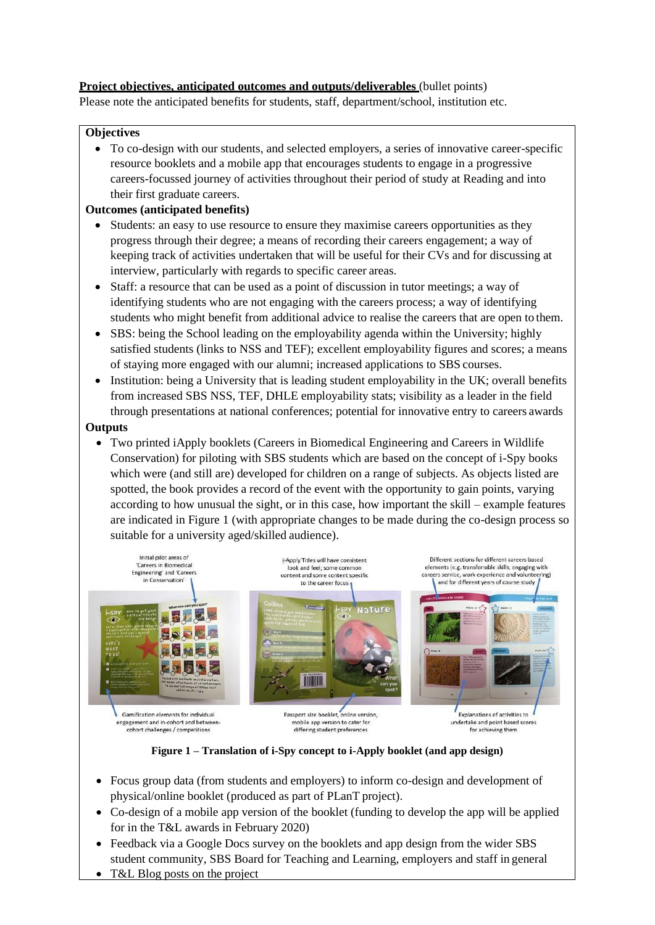## **Project objectives, anticipated outcomes and outputs/deliverables** (bullet points)

Please note the anticipated benefits for students, staff, department/school, institution etc.

#### **Objectives**

• To co-design with our students, and selected employers, a series of innovative career-specific resource booklets and a mobile app that encourages students to engage in a progressive careers-focussed journey of activities throughout their period of study at Reading and into their first graduate careers.

## **Outcomes (anticipated benefits)**

- Students: an easy to use resource to ensure they maximise careers opportunities as they progress through their degree; a means of recording their careers engagement; a way of keeping track of activities undertaken that will be useful for their CVs and for discussing at interview, particularly with regards to specific career areas.
- Staff: a resource that can be used as a point of discussion in tutor meetings; a way of identifying students who are not engaging with the careers process; a way of identifying students who might benefit from additional advice to realise the careers that are open to them.
- SBS: being the School leading on the employability agenda within the University; highly satisfied students (links to NSS and TEF); excellent employability figures and scores; a means of staying more engaged with our alumni; increased applications to SBS courses.
- Institution: being a University that is leading student employability in the UK; overall benefits from increased SBS NSS, TEF, DHLE employability stats; visibility as a leader in the field through presentations at national conferences; potential for innovative entry to careers awards

#### **Outputs**

• Two printed iApply booklets (Careers in Biomedical Engineering and Careers in Wildlife Conservation) for piloting with SBS students which are based on the concept of i-Spy books which were (and still are) developed for children on a range of subjects. As objects listed are spotted, the book provides a record of the event with the opportunity to gain points, varying according to how unusual the sight, or in this case, how important the skill – example features are indicated in Figure 1 (with appropriate changes to be made during the co-design process so suitable for a university aged/skilled audience).



**Figure 1 – Translation of i-Spy concept to i-Apply booklet (and app design)**

- Focus group data (from students and employers) to inform co-design and development of physical/online booklet (produced as part of PLanT project).
- Co-design of a mobile app version of the booklet (funding to develop the app will be applied for in the T&L awards in February 2020)
- Feedback via a Google Docs survey on the booklets and app design from the wider SBS student community, SBS Board for Teaching and Learning, employers and staff in general
- T&L Blog posts on the project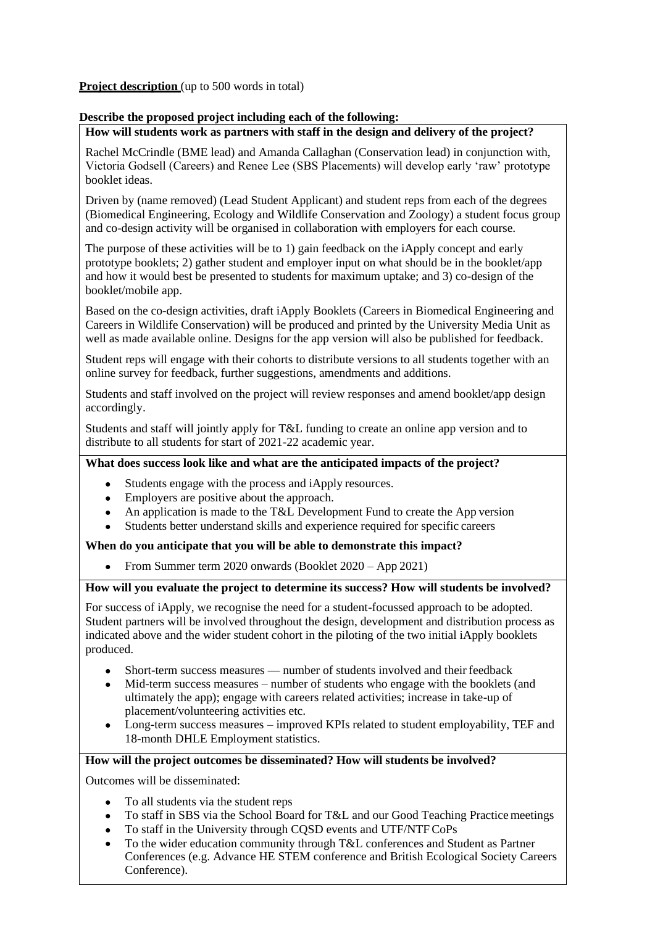#### **Project description** (up to 500 words in total)

#### **Describe the proposed project including each of the following:**

#### **How will students work as partners with staff in the design and delivery of the project?**

Rachel McCrindle (BME lead) and Amanda Callaghan (Conservation lead) in conjunction with, Victoria Godsell (Careers) and Renee Lee (SBS Placements) will develop early 'raw' prototype booklet ideas.

Driven by (name removed) (Lead Student Applicant) and student reps from each of the degrees (Biomedical Engineering, Ecology and Wildlife Conservation and Zoology) a student focus group and co-design activity will be organised in collaboration with employers for each course.

The purpose of these activities will be to 1) gain feedback on the iApply concept and early prototype booklets; 2) gather student and employer input on what should be in the booklet/app and how it would best be presented to students for maximum uptake; and 3) co-design of the booklet/mobile app.

Based on the co-design activities, draft iApply Booklets (Careers in Biomedical Engineering and Careers in Wildlife Conservation) will be produced and printed by the University Media Unit as well as made available online. Designs for the app version will also be published for feedback.

Student reps will engage with their cohorts to distribute versions to all students together with an online survey for feedback, further suggestions, amendments and additions.

Students and staff involved on the project will review responses and amend booklet/app design accordingly.

Students and staff will jointly apply for T&L funding to create an online app version and to distribute to all students for start of 2021-22 academic year.

# **What does success look like and what are the anticipated impacts of the project?**

- Students engage with the process and iApply resources.
- Employers are positive about the approach.
- An application is made to the T&L Development Fund to create the App version
- Students better understand skills and experience required for specific careers

#### **When do you anticipate that you will be able to demonstrate this impact?**

• From Summer term 2020 onwards (Booklet 2020 – App 2021)

#### **How will you evaluate the project to determine its success? How will students be involved?**

For success of iApply, we recognise the need for a student-focussed approach to be adopted. Student partners will be involved throughout the design, development and distribution process as indicated above and the wider student cohort in the piloting of the two initial iApply booklets produced.

- Short-term success measures –– number of students involved and their feedback
- Mid-term success measures number of students who engage with the booklets (and ultimately the app); engage with careers related activities; increase in take-up of placement/volunteering activities etc.
- Long-term success measures improved KPIs related to student employability, TEF and 18-month DHLE Employment statistics.

## **How will the project outcomes be disseminated? How will students be involved?**

Outcomes will be disseminated:

- To all students via the student reps
- To staff in SBS via the School Board for T&L and our Good Teaching Practice meetings
- To staff in the University through CQSD events and UTF/NTFCoPs
- To the wider education community through T&L conferences and Student as Partner Conferences (e.g. Advance HE STEM conference and British Ecological Society Careers Conference).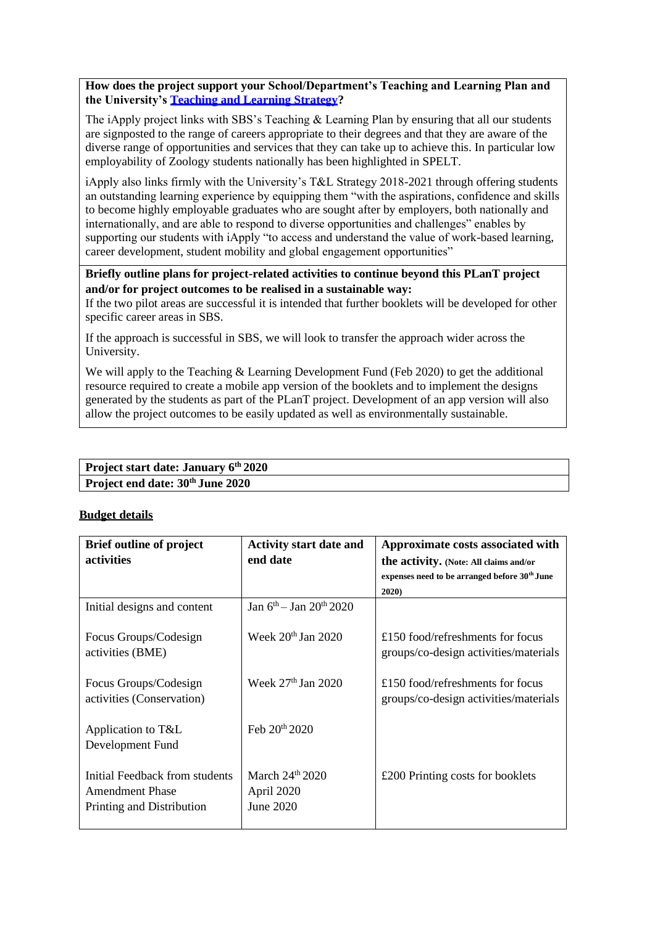**How does the project support your School/Department's Teaching and Learning Plan and the University's [Teaching and Learning Strategy?](https://www.reading.ac.uk/about/teaching-and-learning/t-and-l-strategy.aspx)**

The iApply project links with SBS's Teaching & Learning Plan by ensuring that all our students are signposted to the range of careers appropriate to their degrees and that they are aware of the diverse range of opportunities and services that they can take up to achieve this. In particular low employability of Zoology students nationally has been highlighted in SPELT.

iApply also links firmly with the University's T&L Strategy 2018-2021 through offering students an outstanding learning experience by equipping them "with the aspirations, confidence and skills to become highly employable graduates who are sought after by employers, both nationally and internationally, and are able to respond to diverse opportunities and challenges" enables by supporting our students with iApply "to access and understand the value of work-based learning, career development, student mobility and global engagement opportunities"

**Briefly outline plans for project-related activities to continue beyond this PLanT project and/or for project outcomes to be realised in a sustainable way:**

If the two pilot areas are successful it is intended that further booklets will be developed for other specific career areas in SBS.

If the approach is successful in SBS, we will look to transfer the approach wider across the University.

We will apply to the Teaching & Learning Development Fund (Feb 2020) to get the additional resource required to create a mobile app version of the booklets and to implement the designs generated by the students as part of the PLanT project. Development of an app version will also allow the project outcomes to be easily updated as well as environmentally sustainable.

| Project start date: January 6th 2020         |  |
|----------------------------------------------|--|
| Project end date: 30 <sup>th</sup> June 2020 |  |

#### **Budget details**

| <b>Brief outline of project</b><br><b>activities</b>                                  | <b>Activity start date and</b><br>end date      | Approximate costs associated with<br>the activity. (Note: All claims and/or |
|---------------------------------------------------------------------------------------|-------------------------------------------------|-----------------------------------------------------------------------------|
|                                                                                       |                                                 | expenses need to be arranged before 30 <sup>th</sup> June<br>2020)          |
| Initial designs and content                                                           | Jan $6^{th}$ – Jan $20^{th}$ 2020               |                                                                             |
| Focus Groups/Codesign<br>activities (BME)                                             | Week $20th$ Jan $2020$                          | £150 food/refreshments for focus<br>groups/co-design activities/materials   |
| Focus Groups/Codesign<br>activities (Conservation)                                    | Week $27th$ Jan 2020                            | £150 food/refreshments for focus<br>groups/co-design activities/materials   |
| Application to T&L<br>Development Fund                                                | Feb $20^{th}$ 2020                              |                                                                             |
| Initial Feedback from students<br><b>Amendment Phase</b><br>Printing and Distribution | March $24^{th}$ 2020<br>April 2020<br>June 2020 | £200 Printing costs for booklets                                            |